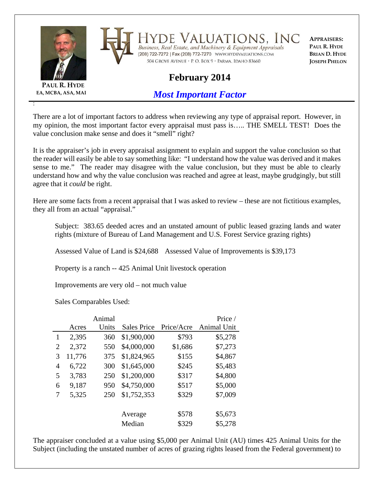

**PAUL R. HYDE EA, MCBA, ASA, MAI**

:

Valuations, Inc Business, Real Estate, and Machinery & Equipment Appraisals 

**APPRAISERS: PAUL R. HYDE BRIAN D. HYDE JOSEPH PHELON**

## **February 2014**

504 GROVE AVENUE · P. O. BOX 9 · PARMA, IDAHO 83660

*Most Important Factor*

There are a lot of important factors to address when reviewing any type of appraisal report. However, in my opinion, the most important factor every appraisal must pass is….. THE SMELL TEST! Does the value conclusion make sense and does it "smell" right?

It is the appraiser's job in every appraisal assignment to explain and support the value conclusion so that the reader will easily be able to say something like: "I understand how the value was derived and it makes sense to me." The reader may disagree with the value conclusion, but they must be able to clearly understand how and why the value conclusion was reached and agree at least, maybe grudgingly, but still agree that it *could* be right.

Here are some facts from a recent appraisal that I was asked to review – these are not fictitious examples, they all from an actual "appraisal."

Subject: 383.65 deeded acres and an unstated amount of public leased grazing lands and water rights (mixture of Bureau of Land Management and U.S. Forest Service grazing rights)

Assessed Value of Land is \$24,688 Assessed Value of Improvements is \$39,173

Property is a ranch -- 425 Animal Unit livestock operation

Improvements are very old – not much value

Sales Comparables Used:

|   |        | Animal |                    |            | Price /     |
|---|--------|--------|--------------------|------------|-------------|
|   | Acres  | Units  | <b>Sales Price</b> | Price/Acre | Animal Unit |
| 1 | 2,395  | 360    | \$1,900,000        | \$793      | \$5,278     |
| 2 | 2,372  | 550    | \$4,000,000        | \$1,686    | \$7,273     |
| 3 | 11,776 | 375    | \$1,824,965        | \$155      | \$4,867     |
| 4 | 6,722  | 300    | \$1,645,000        | \$245      | \$5,483     |
| 5 | 3,783  | 250    | \$1,200,000        | \$317      | \$4,800     |
| 6 | 9,187  | 950    | \$4,750,000        | \$517      | \$5,000     |
| 7 | 5,325  | 250    | \$1,752,353        | \$329      | \$7,009     |
|   |        |        |                    |            |             |
|   |        |        | Average            | \$578      | \$5,673     |
|   |        |        | Median             | \$329      | \$5,278     |

The appraiser concluded at a value using \$5,000 per Animal Unit (AU) times 425 Animal Units for the Subject (including the unstated number of acres of grazing rights leased from the Federal government) to